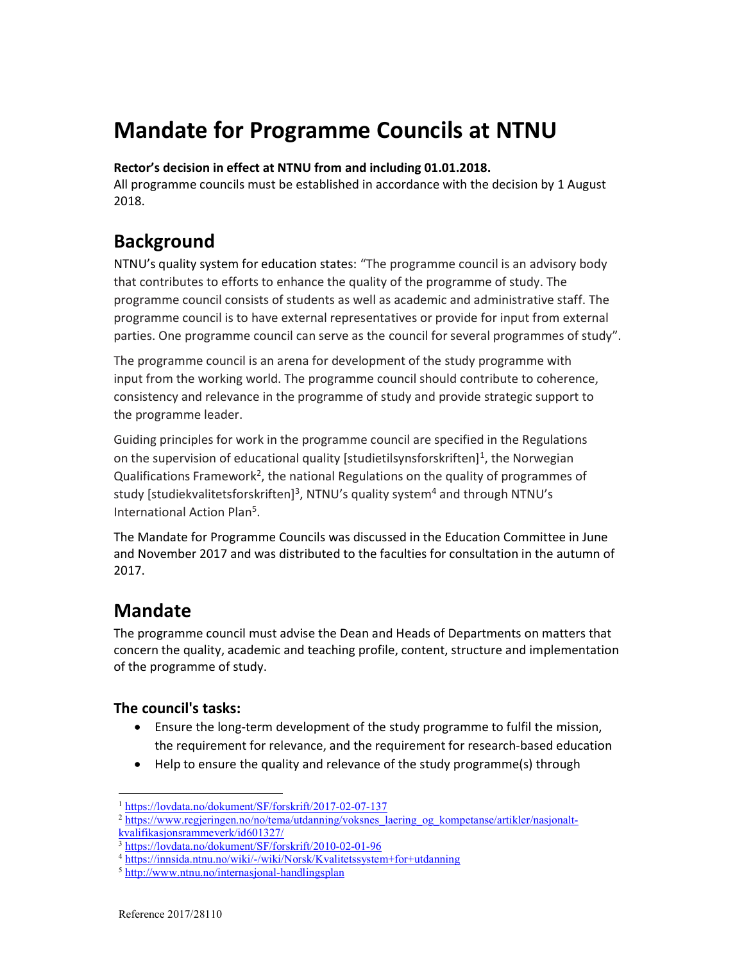# Mandate for Programme Councils at NTNU

#### Rector's decision in effect at NTNU from and including 01.01.2018.

All programme councils must be established in accordance with the decision by 1 August 2018.

## Background

NTNU's quality system for education states: "The programme council is an advisory body that contributes to efforts to enhance the quality of the programme of study. The programme council consists of students as well as academic and administrative staff. The programme council is to have external representatives or provide for input from external parties. One programme council can serve as the council for several programmes of study".

The programme council is an arena for development of the study programme with input from the working world. The programme council should contribute to coherence, consistency and relevance in the programme of study and provide strategic support to the programme leader.

Guiding principles for work in the programme council are specified in the Regulations on the supervision of educational quality [studietilsynsforskriften]<sup>1</sup>, the Norwegian Qualifications Framework<sup>2</sup>, the national Regulations on the quality of programmes of study [studiekvalitetsforskriften]<sup>3</sup>, NTNU's quality system<sup>4</sup> and through NTNU's International Action Plan<sup>5</sup>.

The Mandate for Programme Councils was discussed in the Education Committee in June and November 2017 and was distributed to the faculties for consultation in the autumn of 2017.

### Mandate

-

The programme council must advise the Dean and Heads of Departments on matters that concern the quality, academic and teaching profile, content, structure and implementation of the programme of study.

### The council's tasks:

- Ensure the long-term development of the study programme to fulfil the mission, the requirement for relevance, and the requirement for research-based education
- Help to ensure the quality and relevance of the study programme(s) through

<sup>1</sup> https://lovdata.no/dokument/SF/forskrift/2017-02-07-137

<sup>2</sup> https://www.regjeringen.no/no/tema/utdanning/voksnes\_laering\_og\_kompetanse/artikler/nasjonaltkvalifikasjonsrammeverk/id601327/

<sup>3</sup> https://lovdata.no/dokument/SF/forskrift/2010-02-01-96

<sup>4</sup> https://innsida.ntnu.no/wiki/-/wiki/Norsk/Kvalitetssystem+for+utdanning

<sup>5</sup> http://www.ntnu.no/internasjonal-handlingsplan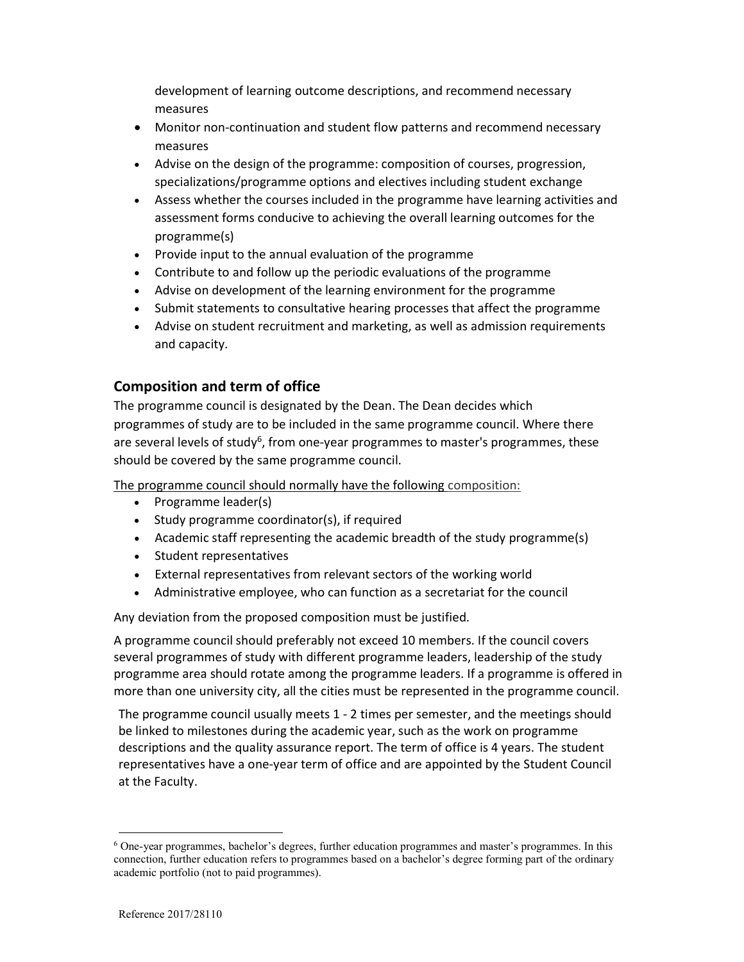development of learning outcome descriptions, and recommend necessary measures

- Monitor non-continuation and student flow patterns and recommend necessary measures
- Advise on the design of the programme: composition of courses, progression, specializations/programme options and electives including student exchange
- Assess whether the courses included in the programme have learning activities and assessment forms conducive to achieving the overall learning outcomes for the programme(s)
- Provide input to the annual evaluation of the programme
- Contribute to and follow up the periodic evaluations of the programme
- Advise on development of the learning environment for the programme
- Submit statements to consultative hearing processes that affect the programme
- Advise on student recruitment and marketing, as well as admission requirements and capacity.

### Composition and term of office

The programme council is designated by the Dean. The Dean decides which programmes of study are to be included in the same programme council. Where there are several levels of study<sup>6</sup>, from one-year programmes to master's programmes, these should be covered by the same programme council.

The programme council should normally have the following composition:

- Programme leader(s)
- Study programme coordinator(s), if required
- Academic staff representing the academic breadth of the study programme(s)
- Student representatives
- External representatives from relevant sectors of the working world
- Administrative employee, who can function as a secretariat for the council

Any deviation from the proposed composition must be justified.

A programme council should preferably not exceed 10 members. If the council covers several programmes of study with different programme leaders, leadership of the study programme area should rotate among the programme leaders. If a programme is offered in more than one university city, all the cities must be represented in the programme council.

The programme council usually meets 1 - 2 times per semester, and the meetings should be linked to milestones during the academic year, such as the work on programme descriptions and the quality assurance report. The term of office is 4 years. The student representatives have a one-year term of office and are appointed by the Student Council at the Faculty.

 $\overline{a}$ 

<sup>6</sup> One-year programmes, bachelor's degrees, further education programmes and master's programmes. In this connection, further education refers to programmes based on a bachelor's degree forming part of the ordinary academic portfolio (not to paid programmes).